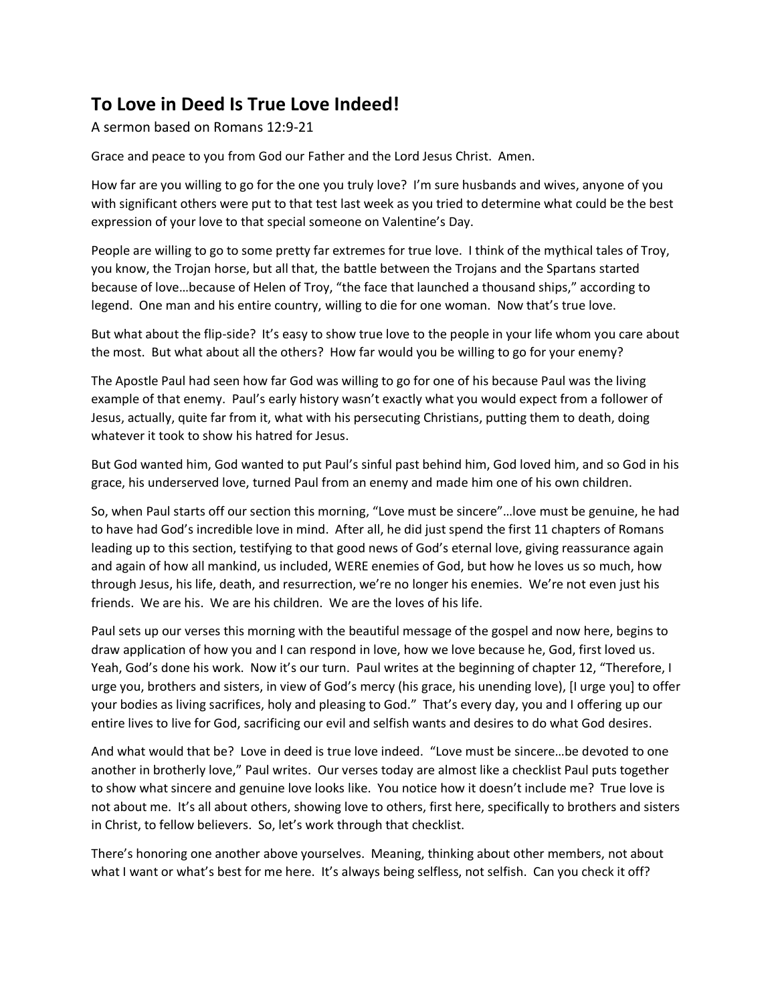## **To Love in Deed Is True Love Indeed!**

A sermon based on Romans 12:9-21

Grace and peace to you from God our Father and the Lord Jesus Christ. Amen.

How far are you willing to go for the one you truly love? I'm sure husbands and wives, anyone of you with significant others were put to that test last week as you tried to determine what could be the best expression of your love to that special someone on Valentine's Day.

People are willing to go to some pretty far extremes for true love. I think of the mythical tales of Troy, you know, the Trojan horse, but all that, the battle between the Trojans and the Spartans started because of love…because of Helen of Troy, "the face that launched a thousand ships," according to legend. One man and his entire country, willing to die for one woman. Now that's true love.

But what about the flip-side? It's easy to show true love to the people in your life whom you care about the most. But what about all the others? How far would you be willing to go for your enemy?

The Apostle Paul had seen how far God was willing to go for one of his because Paul was the living example of that enemy. Paul's early history wasn't exactly what you would expect from a follower of Jesus, actually, quite far from it, what with his persecuting Christians, putting them to death, doing whatever it took to show his hatred for Jesus.

But God wanted him, God wanted to put Paul's sinful past behind him, God loved him, and so God in his grace, his underserved love, turned Paul from an enemy and made him one of his own children.

So, when Paul starts off our section this morning, "Love must be sincere"…love must be genuine, he had to have had God's incredible love in mind. After all, he did just spend the first 11 chapters of Romans leading up to this section, testifying to that good news of God's eternal love, giving reassurance again and again of how all mankind, us included, WERE enemies of God, but how he loves us so much, how through Jesus, his life, death, and resurrection, we're no longer his enemies. We're not even just his friends. We are his. We are his children. We are the loves of his life.

Paul sets up our verses this morning with the beautiful message of the gospel and now here, begins to draw application of how you and I can respond in love, how we love because he, God, first loved us. Yeah, God's done his work. Now it's our turn. Paul writes at the beginning of chapter 12, "Therefore, I urge you, brothers and sisters, in view of God's mercy (his grace, his unending love), [I urge you] to offer your bodies as living sacrifices, holy and pleasing to God." That's every day, you and I offering up our entire lives to live for God, sacrificing our evil and selfish wants and desires to do what God desires.

And what would that be? Love in deed is true love indeed. "Love must be sincere…be devoted to one another in brotherly love," Paul writes. Our verses today are almost like a checklist Paul puts together to show what sincere and genuine love looks like. You notice how it doesn't include me? True love is not about me. It's all about others, showing love to others, first here, specifically to brothers and sisters in Christ, to fellow believers. So, let's work through that checklist.

There's honoring one another above yourselves. Meaning, thinking about other members, not about what I want or what's best for me here. It's always being selfless, not selfish. Can you check it off?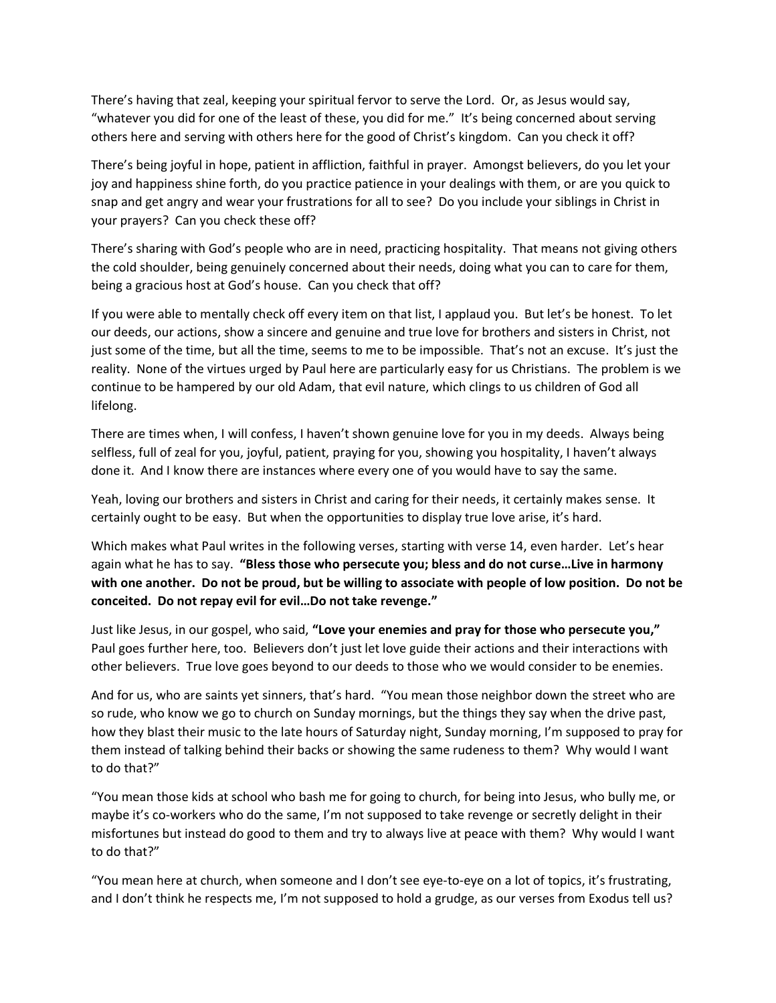There's having that zeal, keeping your spiritual fervor to serve the Lord. Or, as Jesus would say, "whatever you did for one of the least of these, you did for me." It's being concerned about serving others here and serving with others here for the good of Christ's kingdom. Can you check it off?

There's being joyful in hope, patient in affliction, faithful in prayer. Amongst believers, do you let your joy and happiness shine forth, do you practice patience in your dealings with them, or are you quick to snap and get angry and wear your frustrations for all to see? Do you include your siblings in Christ in your prayers? Can you check these off?

There's sharing with God's people who are in need, practicing hospitality. That means not giving others the cold shoulder, being genuinely concerned about their needs, doing what you can to care for them, being a gracious host at God's house. Can you check that off?

If you were able to mentally check off every item on that list, I applaud you. But let's be honest. To let our deeds, our actions, show a sincere and genuine and true love for brothers and sisters in Christ, not just some of the time, but all the time, seems to me to be impossible. That's not an excuse. It's just the reality. None of the virtues urged by Paul here are particularly easy for us Christians. The problem is we continue to be hampered by our old Adam, that evil nature, which clings to us children of God all lifelong.

There are times when, I will confess, I haven't shown genuine love for you in my deeds. Always being selfless, full of zeal for you, joyful, patient, praying for you, showing you hospitality, I haven't always done it. And I know there are instances where every one of you would have to say the same.

Yeah, loving our brothers and sisters in Christ and caring for their needs, it certainly makes sense. It certainly ought to be easy. But when the opportunities to display true love arise, it's hard.

Which makes what Paul writes in the following verses, starting with verse 14, even harder. Let's hear again what he has to say. **"Bless those who persecute you; bless and do not curse…Live in harmony with one another. Do not be proud, but be willing to associate with people of low position. Do not be conceited. Do not repay evil for evil…Do not take revenge."**

Just like Jesus, in our gospel, who said, **"Love your enemies and pray for those who persecute you,"** Paul goes further here, too. Believers don't just let love guide their actions and their interactions with other believers. True love goes beyond to our deeds to those who we would consider to be enemies.

And for us, who are saints yet sinners, that's hard. "You mean those neighbor down the street who are so rude, who know we go to church on Sunday mornings, but the things they say when the drive past, how they blast their music to the late hours of Saturday night, Sunday morning, I'm supposed to pray for them instead of talking behind their backs or showing the same rudeness to them? Why would I want to do that?"

"You mean those kids at school who bash me for going to church, for being into Jesus, who bully me, or maybe it's co-workers who do the same, I'm not supposed to take revenge or secretly delight in their misfortunes but instead do good to them and try to always live at peace with them? Why would I want to do that?"

"You mean here at church, when someone and I don't see eye-to-eye on a lot of topics, it's frustrating, and I don't think he respects me, I'm not supposed to hold a grudge, as our verses from Exodus tell us?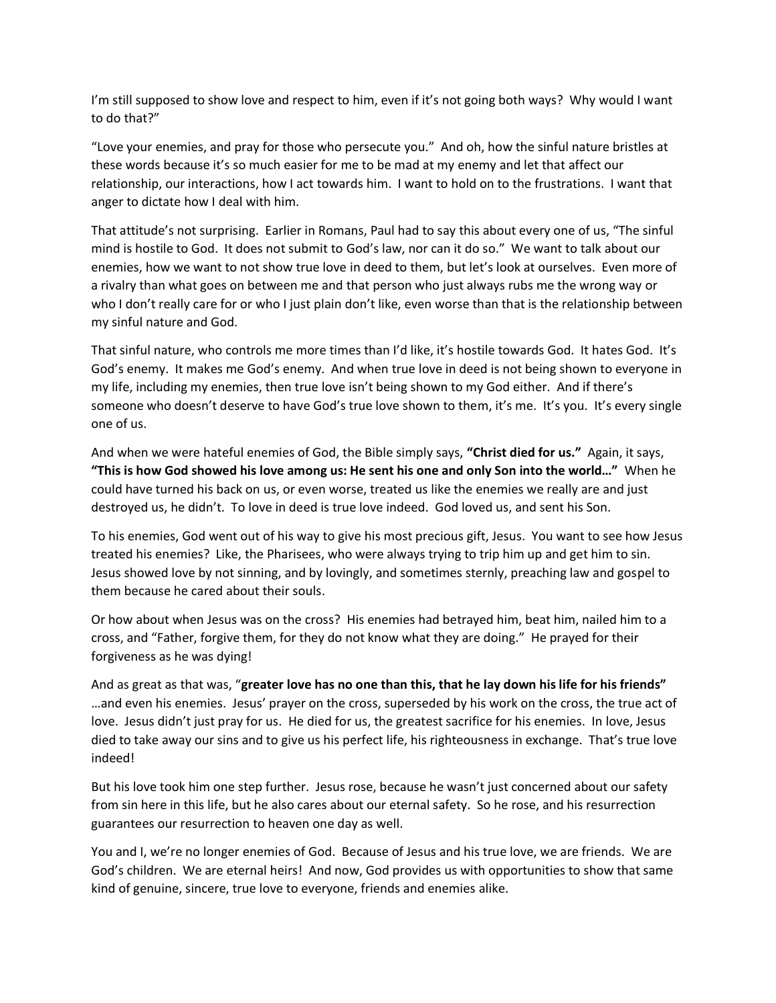I'm still supposed to show love and respect to him, even if it's not going both ways? Why would I want to do that?"

"Love your enemies, and pray for those who persecute you." And oh, how the sinful nature bristles at these words because it's so much easier for me to be mad at my enemy and let that affect our relationship, our interactions, how I act towards him. I want to hold on to the frustrations. I want that anger to dictate how I deal with him.

That attitude's not surprising. Earlier in Romans, Paul had to say this about every one of us, "The sinful mind is hostile to God. It does not submit to God's law, nor can it do so." We want to talk about our enemies, how we want to not show true love in deed to them, but let's look at ourselves. Even more of a rivalry than what goes on between me and that person who just always rubs me the wrong way or who I don't really care for or who I just plain don't like, even worse than that is the relationship between my sinful nature and God.

That sinful nature, who controls me more times than I'd like, it's hostile towards God. It hates God. It's God's enemy. It makes me God's enemy. And when true love in deed is not being shown to everyone in my life, including my enemies, then true love isn't being shown to my God either. And if there's someone who doesn't deserve to have God's true love shown to them, it's me. It's you. It's every single one of us.

And when we were hateful enemies of God, the Bible simply says, **"Christ died for us."** Again, it says, **"This is how God showed his love among us: He sent his one and only Son into the world…"** When he could have turned his back on us, or even worse, treated us like the enemies we really are and just destroyed us, he didn't. To love in deed is true love indeed. God loved us, and sent his Son.

To his enemies, God went out of his way to give his most precious gift, Jesus. You want to see how Jesus treated his enemies? Like, the Pharisees, who were always trying to trip him up and get him to sin. Jesus showed love by not sinning, and by lovingly, and sometimes sternly, preaching law and gospel to them because he cared about their souls.

Or how about when Jesus was on the cross? His enemies had betrayed him, beat him, nailed him to a cross, and "Father, forgive them, for they do not know what they are doing." He prayed for their forgiveness as he was dying!

And as great as that was, "**greater love has no one than this, that he lay down his life for his friends"**  …and even his enemies. Jesus' prayer on the cross, superseded by his work on the cross, the true act of love. Jesus didn't just pray for us. He died for us, the greatest sacrifice for his enemies. In love, Jesus died to take away our sins and to give us his perfect life, his righteousness in exchange. That's true love indeed!

But his love took him one step further. Jesus rose, because he wasn't just concerned about our safety from sin here in this life, but he also cares about our eternal safety. So he rose, and his resurrection guarantees our resurrection to heaven one day as well.

You and I, we're no longer enemies of God. Because of Jesus and his true love, we are friends. We are God's children. We are eternal heirs! And now, God provides us with opportunities to show that same kind of genuine, sincere, true love to everyone, friends and enemies alike.